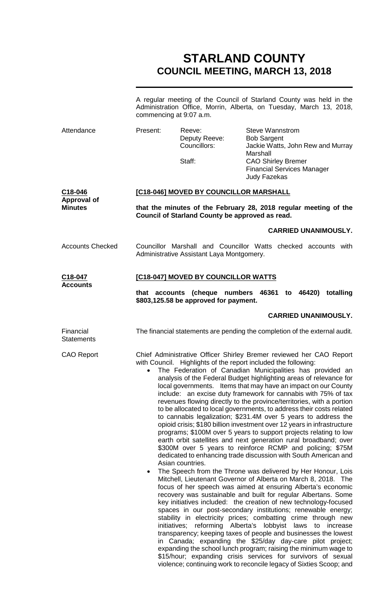# **STARLAND COUNTY COUNCIL MEETING, MARCH 13, 2018**

A regular meeting of the Council of Starland County was held in the Administration Office, Morrin, Alberta, on Tuesday, March 13, 2018, commencing at 9:07 a.m.

| Attendance                                      | Present:                                                                                                                                                      | Reeve:<br>Deputy Reeve:<br>Councillors:<br>Staff:                                                                                                                                                                                                                                                                                                                                                                                                                                                                                                                                                                                                                                                                                                                                                                                                                                                                                                                                                                                                                                                                                                                                                                                                                                                                                                                                                                                                                                                                                                                                                                                                                                                                                                                                                                                                                                                 | <b>Steve Wannstrom</b><br><b>Bob Sargent</b><br>Jackie Watts, John Rew and Murray<br>Marshall<br><b>CAO Shirley Bremer</b><br><b>Financial Services Manager</b><br>Judy Fazekas |  |
|-------------------------------------------------|---------------------------------------------------------------------------------------------------------------------------------------------------------------|---------------------------------------------------------------------------------------------------------------------------------------------------------------------------------------------------------------------------------------------------------------------------------------------------------------------------------------------------------------------------------------------------------------------------------------------------------------------------------------------------------------------------------------------------------------------------------------------------------------------------------------------------------------------------------------------------------------------------------------------------------------------------------------------------------------------------------------------------------------------------------------------------------------------------------------------------------------------------------------------------------------------------------------------------------------------------------------------------------------------------------------------------------------------------------------------------------------------------------------------------------------------------------------------------------------------------------------------------------------------------------------------------------------------------------------------------------------------------------------------------------------------------------------------------------------------------------------------------------------------------------------------------------------------------------------------------------------------------------------------------------------------------------------------------------------------------------------------------------------------------------------------------|---------------------------------------------------------------------------------------------------------------------------------------------------------------------------------|--|
| C18-046<br><b>Approval of</b><br><b>Minutes</b> | [C18-046] MOVED BY COUNCILLOR MARSHALL<br>that the minutes of the February 28, 2018 regular meeting of the<br>Council of Starland County be approved as read. |                                                                                                                                                                                                                                                                                                                                                                                                                                                                                                                                                                                                                                                                                                                                                                                                                                                                                                                                                                                                                                                                                                                                                                                                                                                                                                                                                                                                                                                                                                                                                                                                                                                                                                                                                                                                                                                                                                   |                                                                                                                                                                                 |  |
|                                                 |                                                                                                                                                               |                                                                                                                                                                                                                                                                                                                                                                                                                                                                                                                                                                                                                                                                                                                                                                                                                                                                                                                                                                                                                                                                                                                                                                                                                                                                                                                                                                                                                                                                                                                                                                                                                                                                                                                                                                                                                                                                                                   | <b>CARRIED UNANIMOUSLY.</b>                                                                                                                                                     |  |
| <b>Accounts Checked</b>                         | Councillor Marshall and Councillor Watts checked accounts with<br>Administrative Assistant Laya Montgomery.                                                   |                                                                                                                                                                                                                                                                                                                                                                                                                                                                                                                                                                                                                                                                                                                                                                                                                                                                                                                                                                                                                                                                                                                                                                                                                                                                                                                                                                                                                                                                                                                                                                                                                                                                                                                                                                                                                                                                                                   |                                                                                                                                                                                 |  |
| C18-047<br><b>Accounts</b>                      | [C18-047] MOVED BY COUNCILLOR WATTS<br>that accounts<br>(cheque numbers 46361 to 46420)<br>totalling<br>\$803,125.58 be approved for payment.                 |                                                                                                                                                                                                                                                                                                                                                                                                                                                                                                                                                                                                                                                                                                                                                                                                                                                                                                                                                                                                                                                                                                                                                                                                                                                                                                                                                                                                                                                                                                                                                                                                                                                                                                                                                                                                                                                                                                   |                                                                                                                                                                                 |  |
|                                                 |                                                                                                                                                               |                                                                                                                                                                                                                                                                                                                                                                                                                                                                                                                                                                                                                                                                                                                                                                                                                                                                                                                                                                                                                                                                                                                                                                                                                                                                                                                                                                                                                                                                                                                                                                                                                                                                                                                                                                                                                                                                                                   | <b>CARRIED UNANIMOUSLY.</b>                                                                                                                                                     |  |
| Financial<br><b>Statements</b>                  |                                                                                                                                                               | The financial statements are pending the completion of the external audit.                                                                                                                                                                                                                                                                                                                                                                                                                                                                                                                                                                                                                                                                                                                                                                                                                                                                                                                                                                                                                                                                                                                                                                                                                                                                                                                                                                                                                                                                                                                                                                                                                                                                                                                                                                                                                        |                                                                                                                                                                                 |  |
| <b>CAO Report</b>                               | $\bullet$<br>٠                                                                                                                                                | Chief Administrative Officer Shirley Bremer reviewed her CAO Report<br>with Council. Highlights of the report included the following:<br>The Federation of Canadian Municipalities has provided an<br>analysis of the Federal Budget highlighting areas of relevance for<br>local governments. Items that may have an impact on our County<br>include: an excise duty framework for cannabis with 75% of tax<br>revenues flowing directly to the province/territories, with a portion<br>to be allocated to local governments, to address their costs related<br>to cannabis legalization; \$231.4M over 5 years to address the<br>opioid crisis; \$180 billion investment over 12 years in infrastructure<br>programs; \$100M over 5 years to support projects relating to low<br>earth orbit satellites and next generation rural broadband; over<br>\$300M over 5 years to reinforce RCMP and policing; \$75M<br>dedicated to enhancing trade discussion with South American and<br>Asian countries.<br>The Speech from the Throne was delivered by Her Honour, Lois<br>Mitchell, Lieutenant Governor of Alberta on March 8, 2018. The<br>focus of her speech was aimed at ensuring Alberta's economic<br>recovery was sustainable and built for regular Albertans. Some<br>key initiatives included: the creation of new technology-focused<br>spaces in our post-secondary institutions; renewable energy;<br>stability in electricity prices; combatting crime through new<br>initiatives;<br>reforming Alberta's lobbyist laws<br>increase<br>to<br>transparency; keeping taxes of people and businesses the lowest<br>in Canada; expanding the \$25/day day-care pilot project;<br>expanding the school lunch program; raising the minimum wage to<br>\$15/hour; expanding crisis services for survivors of sexual<br>violence; continuing work to reconcile legacy of Sixties Scoop; and |                                                                                                                                                                                 |  |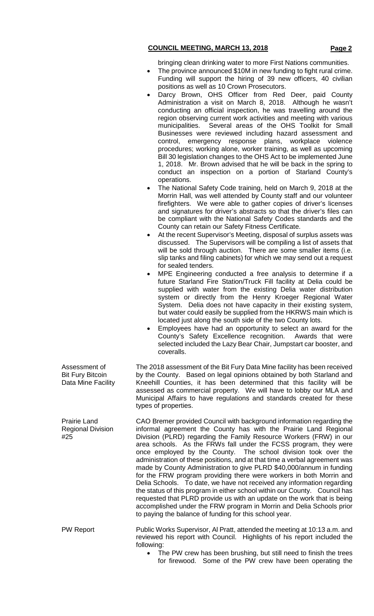bringing clean drinking water to more First Nations communities.

- The province announced \$10M in new funding to fight rural crime. Funding will support the hiring of 39 new officers, 40 civilian positions as well as 10 Crown Prosecutors.
- Darcy Brown, OHS Officer from Red Deer, paid County Administration a visit on March 8, 2018. Although he wasn't conducting an official inspection, he was travelling around the region observing current work activities and meeting with various municipalities. Several areas of the OHS Toolkit for Small Several areas of the OHS Toolkit for Small Businesses were reviewed including hazard assessment and control, emergency response plans, workplace violence procedures; working alone, worker training, as well as upcoming Bill 30 legislation changes to the OHS Act to be implemented June 1, 2018. Mr. Brown advised that he will be back in the spring to conduct an inspection on a portion of Starland County's operations.
- The National Safety Code training, held on March 9, 2018 at the Morrin Hall, was well attended by County staff and our volunteer firefighters. We were able to gather copies of driver's licenses and signatures for driver's abstracts so that the driver's files can be compliant with the National Safety Codes standards and the County can retain our Safety Fitness Certificate.
- At the recent Supervisor's Meeting, disposal of surplus assets was discussed. The Supervisors will be compiling a list of assets that will be sold through auction. There are some smaller items (i.e. slip tanks and filing cabinets) for which we may send out a request for sealed tenders.
- MPE Engineering conducted a free analysis to determine if a future Starland Fire Station/Truck Fill facility at Delia could be supplied with water from the existing Delia water distribution system or directly from the Henry Kroeger Regional Water System. Delia does not have capacity in their existing system, but water could easily be supplied from the HKRWS main which is located just along the south side of the two County lots.
- Employees have had an opportunity to select an award for the County's Safety Excellence recognition. Awards that were selected included the Lazy Bear Chair, Jumpstart car booster, and coveralls.

The 2018 assessment of the Bit Fury Data Mine facility has been received by the County. Based on legal opinions obtained by both Starland and Kneehill Counties, it has been determined that this facility will be assessed as commercial property. We will have to lobby our MLA and Municipal Affairs to have regulations and standards created for these types of properties.

CAO Bremer provided Council with background information regarding the informal agreement the County has with the Prairie Land Regional Division (PLRD) regarding the Family Resource Workers (FRW) in our area schools. As the FRWs fall under the FCSS program, they were once employed by the County. The school division took over the administration of these positions, and at that time a verbal agreement was made by County Administration to give PLRD \$40,000/annum in funding for the FRW program providing there were workers in both Morrin and Delia Schools. To date, we have not received any information regarding the status of this program in either school within our County. Council has requested that PLRD provide us with an update on the work that is being accomplished under the FRW program in Morrin and Delia Schools prior to paying the balance of funding for this school year.

PW Report Public Works Supervisor, Al Pratt, attended the meeting at 10:13 a.m. and reviewed his report with Council. Highlights of his report included the following:

The PW crew has been brushing, but still need to finish the trees for firewood. Some of the PW crew have been operating the

Assessment of Bit Fury Bitcoin Data Mine Facility

Prairie Land Regional Division #25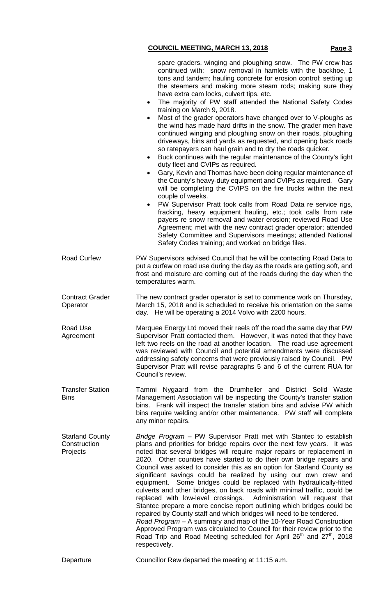|                                                    | spare graders, winging and ploughing snow. The PW crew has<br>continued with: snow removal in hamlets with the backhoe, 1<br>tons and tandem; hauling concrete for erosion control; setting up<br>the steamers and making more steam rods; making sure they<br>have extra cam locks, culvert tips, etc.<br>The majority of PW staff attended the National Safety Codes<br>$\bullet$<br>training on March 9, 2018.<br>Most of the grader operators have changed over to V-ploughs as<br>$\bullet$<br>the wind has made hard drifts in the snow. The grader men have<br>continued winging and ploughing snow on their roads, ploughing<br>driveways, bins and yards as requested, and opening back roads<br>so ratepayers can haul grain and to dry the roads quicker.<br>Buck continues with the regular maintenance of the County's light<br>٠<br>duty fleet and CVIPs as required.<br>Gary, Kevin and Thomas have been doing regular maintenance of<br>$\bullet$<br>the County's heavy-duty equipment and CVIPs as required. Gary<br>will be completing the CVIPS on the fire trucks within the next<br>couple of weeks.<br>PW Supervisor Pratt took calls from Road Data re service rigs,<br>$\bullet$<br>fracking, heavy equipment hauling, etc.; took calls from rate<br>payers re snow removal and water erosion; reviewed Road Use<br>Agreement; met with the new contract grader operator; attended<br>Safety Committee and Supervisors meetings; attended National<br>Safety Codes training; and worked on bridge files. |
|----------------------------------------------------|----------------------------------------------------------------------------------------------------------------------------------------------------------------------------------------------------------------------------------------------------------------------------------------------------------------------------------------------------------------------------------------------------------------------------------------------------------------------------------------------------------------------------------------------------------------------------------------------------------------------------------------------------------------------------------------------------------------------------------------------------------------------------------------------------------------------------------------------------------------------------------------------------------------------------------------------------------------------------------------------------------------------------------------------------------------------------------------------------------------------------------------------------------------------------------------------------------------------------------------------------------------------------------------------------------------------------------------------------------------------------------------------------------------------------------------------------------------------------------------------------------------------------------|
| <b>Road Curfew</b>                                 | PW Supervisors advised Council that he will be contacting Road Data to<br>put a curfew on road use during the day as the roads are getting soft, and<br>frost and moisture are coming out of the roads during the day when the<br>temperatures warm.                                                                                                                                                                                                                                                                                                                                                                                                                                                                                                                                                                                                                                                                                                                                                                                                                                                                                                                                                                                                                                                                                                                                                                                                                                                                             |
| <b>Contract Grader</b><br>Operator                 | The new contract grader operator is set to commence work on Thursday,<br>March 15, 2018 and is scheduled to receive his orientation on the same<br>day. He will be operating a 2014 Volvo with 2200 hours.                                                                                                                                                                                                                                                                                                                                                                                                                                                                                                                                                                                                                                                                                                                                                                                                                                                                                                                                                                                                                                                                                                                                                                                                                                                                                                                       |
| Road Use<br>Agreement                              | Marquee Energy Ltd moved their reels off the road the same day that PW<br>Supervisor Pratt contacted them. However, it was noted that they have<br>left two reels on the road at another location. The road use agreement<br>was reviewed with Council and potential amendments were discussed<br>addressing safety concerns that were previously raised by Council. PW<br>Supervisor Pratt will revise paragraphs 5 and 6 of the current RUA for<br>Council's review.                                                                                                                                                                                                                                                                                                                                                                                                                                                                                                                                                                                                                                                                                                                                                                                                                                                                                                                                                                                                                                                           |
| <b>Transfer Station</b><br><b>Bins</b>             | Tammi Nygaard from the Drumheller and District Solid Waste<br>Management Association will be inspecting the County's transfer station<br>bins. Frank will inspect the transfer station bins and advise PW which<br>bins require welding and/or other maintenance. PW staff will complete<br>any minor repairs.                                                                                                                                                                                                                                                                                                                                                                                                                                                                                                                                                                                                                                                                                                                                                                                                                                                                                                                                                                                                                                                                                                                                                                                                                   |
| <b>Starland County</b><br>Construction<br>Projects | Bridge Program – PW Supervisor Pratt met with Stantec to establish<br>plans and priorities for bridge repairs over the next few years. It was<br>noted that several bridges will require major repairs or replacement in<br>2020. Other counties have started to do their own bridge repairs and<br>Council was asked to consider this as an option for Starland County as<br>significant savings could be realized by using our own crew and<br>equipment. Some bridges could be replaced with hydraulically-fitted<br>culverts and other bridges, on back roads with minimal traffic, could be<br>replaced with low-level crossings. Administration will request that<br>Stantec prepare a more concise report outlining which bridges could be<br>repaired by County staff and which bridges will need to be tendered.<br>Road Program - A summary and map of the 10-Year Road Construction<br>Approved Program was circulated to Council for their review prior to the<br>Road Trip and Road Meeting scheduled for April 26 <sup>th</sup> and 27 <sup>th</sup> , 2018<br>respectively.                                                                                                                                                                                                                                                                                                                                                                                                                                       |
| Departure                                          | Councillor Rew departed the meeting at 11:15 a.m.                                                                                                                                                                                                                                                                                                                                                                                                                                                                                                                                                                                                                                                                                                                                                                                                                                                                                                                                                                                                                                                                                                                                                                                                                                                                                                                                                                                                                                                                                |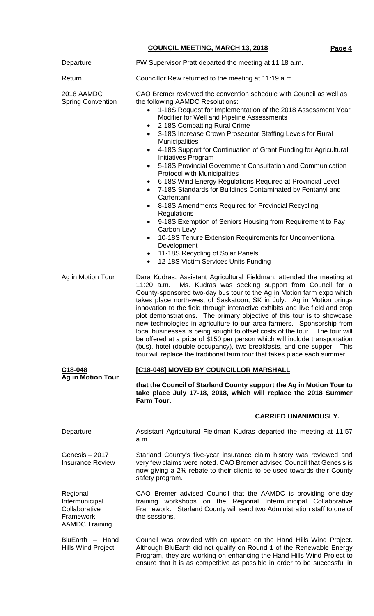| Departure                                                                         | PW Supervisor Pratt departed the meeting at 11:18 a.m.                                                                                                                                                                                                                                                                                                                                                                                                                                                                                                                                                                                                                                                                                                                                                                                                                                                                                                                                                                                                                                 |  |  |
|-----------------------------------------------------------------------------------|----------------------------------------------------------------------------------------------------------------------------------------------------------------------------------------------------------------------------------------------------------------------------------------------------------------------------------------------------------------------------------------------------------------------------------------------------------------------------------------------------------------------------------------------------------------------------------------------------------------------------------------------------------------------------------------------------------------------------------------------------------------------------------------------------------------------------------------------------------------------------------------------------------------------------------------------------------------------------------------------------------------------------------------------------------------------------------------|--|--|
| Return                                                                            | Councillor Rew returned to the meeting at 11:19 a.m.                                                                                                                                                                                                                                                                                                                                                                                                                                                                                                                                                                                                                                                                                                                                                                                                                                                                                                                                                                                                                                   |  |  |
| 2018 AAMDC<br><b>Spring Convention</b>                                            | CAO Bremer reviewed the convention schedule with Council as well as<br>the following AAMDC Resolutions:<br>1-18S Request for Implementation of the 2018 Assessment Year<br>Modifier for Well and Pipeline Assessments<br>2-18S Combatting Rural Crime<br>٠<br>3-18S Increase Crown Prosecutor Staffing Levels for Rural<br><b>Municipalities</b><br>4-18S Support for Continuation of Grant Funding for Agricultural<br>$\bullet$<br>Initiatives Program<br>5-18S Provincial Government Consultation and Communication<br>$\bullet$<br><b>Protocol with Municipalities</b><br>6-18S Wind Energy Regulations Required at Provincial Level<br>$\bullet$<br>7-18S Standards for Buildings Contaminated by Fentanyl and<br>Carfentanil<br>8-18S Amendments Required for Provincial Recycling<br>Regulations<br>9-18S Exemption of Seniors Housing from Requirement to Pay<br>$\bullet$<br>Carbon Levy<br>10-18S Tenure Extension Requirements for Unconventional<br>$\bullet$<br>Development<br>11-18S Recycling of Solar Panels<br>٠<br>12-18S Victim Services Units Funding<br>$\bullet$ |  |  |
| Ag in Motion Tour                                                                 | Dara Kudras, Assistant Agricultural Fieldman, attended the meeting at<br>Ms. Kudras was seeking support from Council for a<br>$11:20$ a.m.<br>County-sponsored two-day bus tour to the Ag in Motion farm expo which<br>takes place north-west of Saskatoon, SK in July. Ag in Motion brings<br>innovation to the field through interactive exhibits and live field and crop<br>plot demonstrations. The primary objective of this tour is to showcase<br>new technologies in agriculture to our area farmers. Sponsorship from<br>local businesses is being sought to offset costs of the tour. The tour will<br>be offered at a price of \$150 per person which will include transportation<br>(bus), hotel (double occupancy), two breakfasts, and one supper. This<br>tour will replace the traditional farm tour that takes place each summer.                                                                                                                                                                                                                                     |  |  |
| C <sub>18</sub> -048                                                              | [C18-048] MOVED BY COUNCILLOR MARSHALL                                                                                                                                                                                                                                                                                                                                                                                                                                                                                                                                                                                                                                                                                                                                                                                                                                                                                                                                                                                                                                                 |  |  |
| <b>Ag in Motion Tour</b>                                                          | that the Council of Starland County support the Ag in Motion Tour to<br>take place July 17-18, 2018, which will replace the 2018 Summer<br>Farm Tour.                                                                                                                                                                                                                                                                                                                                                                                                                                                                                                                                                                                                                                                                                                                                                                                                                                                                                                                                  |  |  |
|                                                                                   | <b>CARRIED UNANIMOUSLY.</b>                                                                                                                                                                                                                                                                                                                                                                                                                                                                                                                                                                                                                                                                                                                                                                                                                                                                                                                                                                                                                                                            |  |  |
| Departure                                                                         | Assistant Agricultural Fieldman Kudras departed the meeting at 11:57<br>a.m.                                                                                                                                                                                                                                                                                                                                                                                                                                                                                                                                                                                                                                                                                                                                                                                                                                                                                                                                                                                                           |  |  |
| Genesis – 2017<br><b>Insurance Review</b>                                         | Starland County's five-year insurance claim history was reviewed and<br>very few claims were noted. CAO Bremer advised Council that Genesis is<br>now giving a 2% rebate to their clients to be used towards their County<br>safety program.                                                                                                                                                                                                                                                                                                                                                                                                                                                                                                                                                                                                                                                                                                                                                                                                                                           |  |  |
| Regional<br>Intermunicipal<br>Collaborative<br>Framework<br><b>AAMDC Training</b> | CAO Bremer advised Council that the AAMDC is providing one-day<br>training workshops on the Regional Intermunicipal Collaborative<br>Framework. Starland County will send two Administration staff to one of<br>the sessions.                                                                                                                                                                                                                                                                                                                                                                                                                                                                                                                                                                                                                                                                                                                                                                                                                                                          |  |  |
| BluEarth - Hand<br><b>Hills Wind Project</b>                                      | Council was provided with an update on the Hand Hills Wind Project.<br>Although BluEarth did not qualify on Round 1 of the Renewable Energy<br>Program, they are working on enhancing the Hand Hills Wind Project to<br>ensure that it is as competitive as possible in order to be successful in                                                                                                                                                                                                                                                                                                                                                                                                                                                                                                                                                                                                                                                                                                                                                                                      |  |  |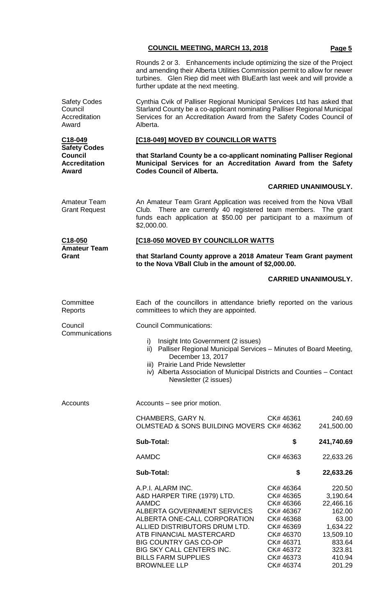|                                                                        | <b>COUNCIL MEETING, MARCH 13, 2018</b>                                                                                                                                                                                                                                                         |                                                                                                                                | Page 5                                                                                                    |  |
|------------------------------------------------------------------------|------------------------------------------------------------------------------------------------------------------------------------------------------------------------------------------------------------------------------------------------------------------------------------------------|--------------------------------------------------------------------------------------------------------------------------------|-----------------------------------------------------------------------------------------------------------|--|
|                                                                        | Rounds 2 or 3. Enhancements include optimizing the size of the Project<br>and amending their Alberta Utilities Commission permit to allow for newer<br>turbines. Glen Riep did meet with BluEarth last week and will provide a<br>further update at the next meeting.                          |                                                                                                                                |                                                                                                           |  |
| <b>Safety Codes</b><br>Council<br>Accreditation<br>Award               | Cynthia Cvik of Palliser Regional Municipal Services Ltd has asked that<br>Starland County be a co-applicant nominating Palliser Regional Municipal<br>Services for an Accreditation Award from the Safety Codes Council of<br>Alberta.                                                        |                                                                                                                                |                                                                                                           |  |
| C18-049                                                                | [C18-049] MOVED BY COUNCILLOR WATTS                                                                                                                                                                                                                                                            |                                                                                                                                |                                                                                                           |  |
| <b>Safety Codes</b><br><b>Council</b><br><b>Accreditation</b><br>Award | that Starland County be a co-applicant nominating Palliser Regional<br>Municipal Services for an Accreditation Award from the Safety<br><b>Codes Council of Alberta.</b>                                                                                                                       |                                                                                                                                |                                                                                                           |  |
|                                                                        |                                                                                                                                                                                                                                                                                                |                                                                                                                                | <b>CARRIED UNANIMOUSLY.</b>                                                                               |  |
| <b>Amateur Team</b><br><b>Grant Request</b>                            | An Amateur Team Grant Application was received from the Nova VBall<br>Club. There are currently 40 registered team members. The grant<br>funds each application at \$50.00 per participant to a maximum of<br>\$2,000.00.                                                                      |                                                                                                                                |                                                                                                           |  |
| C18-050                                                                | [C18-050 MOVED BY COUNCILLOR WATTS                                                                                                                                                                                                                                                             |                                                                                                                                |                                                                                                           |  |
| <b>Amateur Team</b><br>Grant                                           | that Starland County approve a 2018 Amateur Team Grant payment<br>to the Nova VBall Club in the amount of \$2,000.00.                                                                                                                                                                          |                                                                                                                                |                                                                                                           |  |
|                                                                        |                                                                                                                                                                                                                                                                                                |                                                                                                                                | <b>CARRIED UNANIMOUSLY.</b>                                                                               |  |
| Committee<br>Reports                                                   | Each of the councillors in attendance briefly reported on the various<br>committees to which they are appointed.                                                                                                                                                                               |                                                                                                                                |                                                                                                           |  |
| Council<br>Communications                                              | <b>Council Communications:</b>                                                                                                                                                                                                                                                                 |                                                                                                                                |                                                                                                           |  |
|                                                                        | Insight Into Government (2 issues)<br>i)<br>Palliser Regional Municipal Services - Minutes of Board Meeting,<br>ii)<br>December 13, 2017<br>iii) Prairie Land Pride Newsletter<br>iv) Alberta Association of Municipal Districts and Counties - Contact<br>Newsletter (2 issues)               |                                                                                                                                |                                                                                                           |  |
| Accounts                                                               | Accounts – see prior motion.                                                                                                                                                                                                                                                                   |                                                                                                                                |                                                                                                           |  |
|                                                                        | CHAMBERS, GARY N.<br>OLMSTEAD & SONS BUILDING MOVERS CK# 46362                                                                                                                                                                                                                                 | CK# 46361                                                                                                                      | 240.69<br>241,500.00                                                                                      |  |
|                                                                        | <b>Sub-Total:</b>                                                                                                                                                                                                                                                                              | \$                                                                                                                             | 241,740.69                                                                                                |  |
|                                                                        | <b>AAMDC</b>                                                                                                                                                                                                                                                                                   | CK# 46363                                                                                                                      | 22,633.26                                                                                                 |  |
|                                                                        | <b>Sub-Total:</b>                                                                                                                                                                                                                                                                              | \$                                                                                                                             | 22,633.26                                                                                                 |  |
|                                                                        | A.P.I. ALARM INC.<br>A&D HARPER TIRE (1979) LTD.<br><b>AAMDC</b><br>ALBERTA GOVERNMENT SERVICES<br>ALBERTA ONE-CALL CORPORATION<br>ALLIED DISTRIBUTORS DRUM LTD.<br>ATB FINANCIAL MASTERCARD<br><b>BIG COUNTRY GAS CO-OP</b><br><b>BIG SKY CALL CENTERS INC.</b><br><b>BILLS FARM SUPPLIES</b> | CK# 46364<br>CK# 46365<br>CK# 46366<br>CK# 46367<br>CK# 46368<br>CK# 46369<br>CK# 46370<br>CK# 46371<br>CK# 46372<br>CK# 46373 | 220.50<br>3,190.64<br>22,466.16<br>162.00<br>63.00<br>1,634.22<br>13,509.10<br>833.64<br>323.81<br>410.94 |  |

BROWNLEE LLP CK# 46374 201.29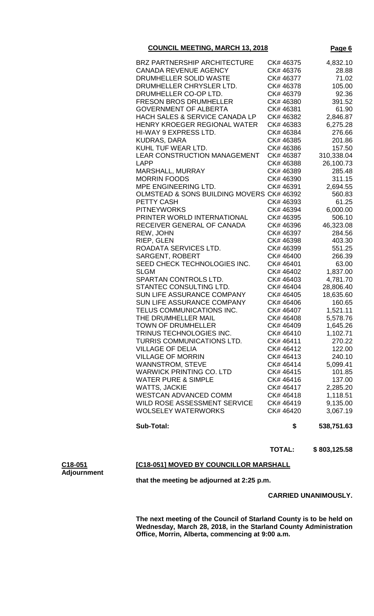| <b>Sub-Total:</b>                         | \$        | 538,751.63 |
|-------------------------------------------|-----------|------------|
| <b>WOLSELEY WATERWORKS</b>                | CK# 46420 | 3,067.19   |
| WILD ROSE ASSESSMENT SERVICE              | CK# 46419 | 9,135.00   |
| <b>WESTCAN ADVANCED COMM</b>              | CK# 46418 | 1,118.51   |
| <b>WATTS, JACKIE</b>                      | CK#46417  | 2,285.20   |
| <b>WATER PURE &amp; SIMPLE</b>            | CK# 46416 | 137.00     |
| <b>WARWICK PRINTING CO. LTD</b>           | CK# 46415 | 101.85     |
| <b>WANNSTROM, STEVE</b>                   | CK# 46414 | 5,099.41   |
| <b>VILLAGE OF MORRIN</b>                  | CK#46413  | 240.10     |
| <b>VILLAGE OF DELIA</b>                   | CK# 46412 | 122.00     |
| TURRIS COMMUNICATIONS LTD.                | CK# 46411 | 270.22     |
| TRINUS TECHNOLOGIES INC.                  | CK# 46410 | 1,102.71   |
| <b>TOWN OF DRUMHELLER</b>                 | CK# 46409 | 1,645.26   |
| THE DRUMHELLER MAIL                       | CK# 46408 | 5,578.76   |
| TELUS COMMUNICATIONS INC.                 | CK# 46407 | 1,521.11   |
| SUN LIFE ASSURANCE COMPANY                | CK# 46406 | 160.65     |
|                                           |           |            |
| SUN LIFE ASSURANCE COMPANY                | CK# 46405 | 18,635.60  |
| STANTEC CONSULTING LTD.                   | CK# 46404 | 28,806.40  |
| SPARTAN CONTROLS LTD.                     | CK# 46403 | 4,781.70   |
| <b>SLGM</b>                               | CK# 46402 | 1,837.00   |
| SEED CHECK TECHNOLOGIES INC.              | CK# 46401 | 63.00      |
| <b>SARGENT, ROBERT</b>                    | CK# 46400 | 266.39     |
| ROADATA SERVICES LTD.                     | CK# 46399 | 551.25     |
| RIEP, GLEN                                | CK# 46398 | 403.30     |
| REW, JOHN                                 | CK# 46397 | 284.56     |
| RECEIVER GENERAL OF CANADA                | CK# 46396 | 46,323.08  |
| PRINTER WORLD INTERNATIONAL               | CK# 46395 | 506.10     |
| <b>PITNEYWORKS</b>                        | CK# 46394 | 6,000.00   |
| <b>PETTY CASH</b>                         | CK# 46393 | 61.25      |
| OLMSTEAD & SONS BUILDING MOVERS CK# 46392 |           | 560.83     |
| MPE ENGINEERING LTD.                      | CK# 46391 | 2,694.55   |
| <b>MORRIN FOODS</b>                       | CK# 46390 | 311.15     |
| MARSHALL, MURRAY                          | CK# 46389 | 285.48     |
| <b>LAPP</b>                               | CK# 46388 | 26,100.73  |
| <b>LEAR CONSTRUCTION MANAGEMENT</b>       | CK# 46387 | 310,338.04 |
| KUHL TUF WEAR LTD.                        | CK# 46386 | 157.50     |
| <b>KUDRAS, DARA</b>                       | CK# 46385 | 201.86     |
| HI-WAY 9 EXPRESS LTD.                     | CK# 46384 | 276.66     |
| HENRY KROEGER REGIONAL WATER              | CK#46383  | 6,275.28   |
| <b>HACH SALES &amp; SERVICE CANADA LP</b> | CK# 46382 | 2,846.87   |
| <b>GOVERNMENT OF ALBERTA</b>              | CK# 46381 | 61.90      |
| <b>FRESON BROS DRUMHELLER</b>             | CK# 46380 | 391.52     |
| DRUMHELLER CO-OP LTD.                     | CK# 46379 | 92.36      |
| DRUMHELLER CHRYSLER LTD.                  | CK# 46378 | 105.00     |
| DRUMHELLER SOLID WASTE                    | CK# 46377 | 71.02      |
| <b>CANADA REVENUE AGENCY</b>              | CK# 46376 | 28.88      |
| <b>BRZ PARTNERSHIP ARCHITECTURE</b>       | CK# 46375 | 4,832.10   |
|                                           |           |            |

#### **TOTAL: \$ 803,125.58**

**C18-051 Adjournment**

# **[C18-051] MOVED BY COUNCILLOR MARSHALL**

**that the meeting be adjourned at 2:25 p.m.**

# **CARRIED UNANIMOUSLY.**

**The next meeting of the Council of Starland County is to be held on Wednesday, March 28, 2018, in the Starland County Administration Office, Morrin, Alberta, commencing at 9:00 a.m.**